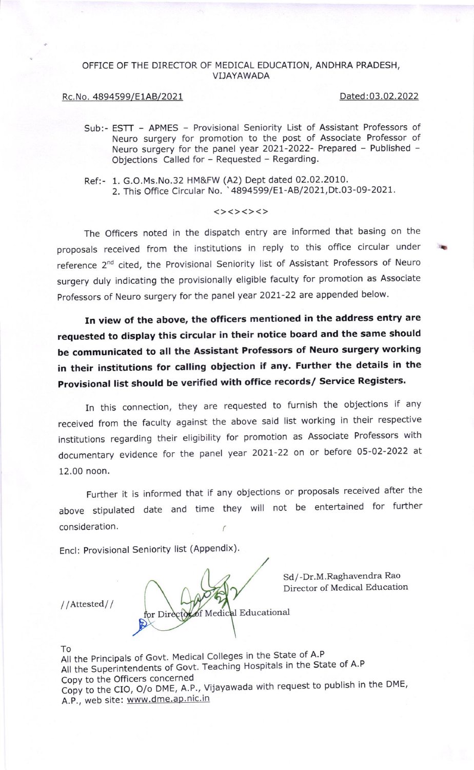## OFFICE OF THE DIRECTOR OF MEDICAL EDUCATION, ANDHRA PRADESH, VI]AYAWADA

## Rc.No. 4894599/E1AB/2021 Dated:03.02.2022

a

- Sub:- ESTT APMES Provisional Seniority List of Assistant Professors of Neuro surgery for promotion to the post of Associate Professor of Neuro surgery for the panel year 2021-2022- Prepared - Published -Objections Called for - Requested - Regarding.
- Ref:- 1. G.O.Ms.No.32 HM&FW (A2) Dept dated 02.02.2010. 2. This Office Circular No. '4894599/E1-AB/2021,Dt.03-09-2021.

## <><><><>

The officers noted in the dispatch entry are informed that basing on the proposals received from the institutions in reply to this office circular under reference 2<sup>nd</sup> cited, the Provisional Seniority list of Assistant Professors of Neuro surgery duly indicating the provisionally eligible faculty for promotion as Associate professors of Neuro surgery for the panel year 202t-22 are appended below.

In view of the above, the officers mentioned in the address entry are requested to display this circular in their notice board and the same should be communicated to all the Assistant Professors of Neuro surgery working in their institutions for calling objection if any. Further the details in the Provisional list should be verified with office records/ Service Registers.

In this connection, they are requested to furnish the objections if any received from the faculty against the above said list working in their respective institutions regarding their eligibility for promotion as Associate Professors with documentary evidence for the panel year 2021-22 on or before 05-02-2022 at 12.00 noon.

Fufther it is informed that if any objections or proposals received after the above stipulated date and time they will not be entertained for further consideration.

Encl: Provisional Seniority list (Appendix).

for Director of Medical Educational

Sd/-Dr.M.Raghavendra Rao Director of Medical Education

//Attested//

To<br>All the Principals of Govt. Medical Colleges in the State of A.P All the Superintendents of Govt. Teaching Hospitals in the State of A.P copy to the Officers concerned Copy to the CIO, O/o DME, A.P., Vijayawada with request to publish in the DME, A.P., web site: www.dme.ap.nic.in